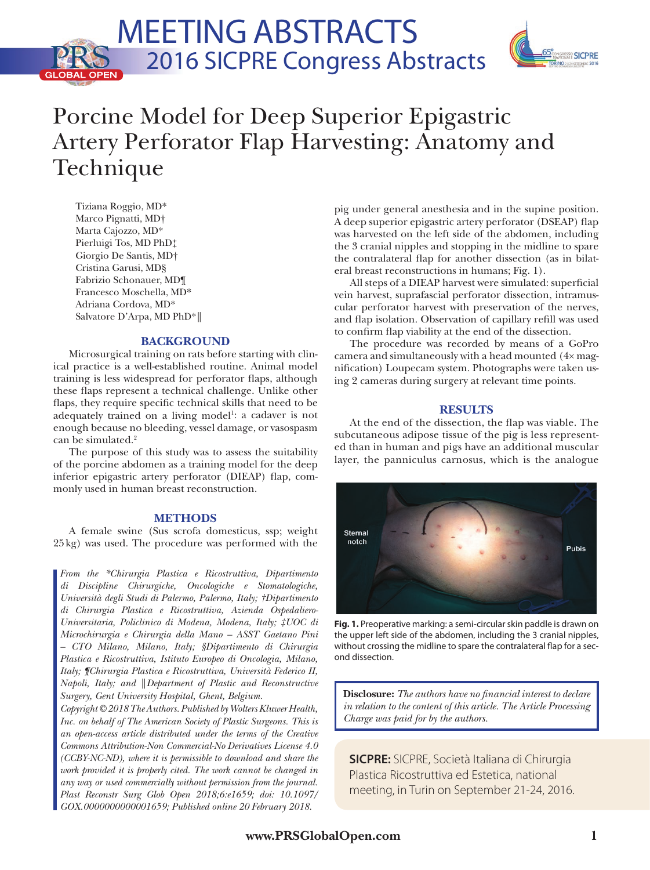## Meeting ABSTRACTS 2016 SICPRE Congress Abstracts**GLOBAL OPEN**



# Porcine Model for Deep Superior Epigastric Artery Perforator Flap Harvesting: Anatomy and Technique

Tiziana Roggio, MD\* Marco Pignatti, MD† Marta Cajozzo, MD\* Pierluigi Tos, MD PhD‡ Giorgio De Santis, MD† Cristina Garusi, MD§ Fabrizio Schonauer, MD¶ Francesco Moschella, MD\* Adriana Cordova, MD\* Salvatore D'Arpa, MD PhD\*║

## **BACKGROUND**

Microsurgical training on rats before starting with clinical practice is a well-established routine. Animal model training is less widespread for perforator flaps, although these flaps represent a technical challenge. Unlike other flaps, they require specific technical skills that need to be adequately trained on a living model<sup>1</sup>: a cadaver is not enough because no bleeding, vessel damage, or vasospasm can be simulated.<sup>2</sup>

The purpose of this study was to assess the suitability of the porcine abdomen as a training model for the deep inferior epigastric artery perforator (DIEAP) flap, commonly used in human breast reconstruction.

## **METHODS**

A female swine (Sus scrofa domesticus, ssp; weight 25kg) was used. The procedure was performed with the

*From the \*Chirurgia Plastica e Ricostruttiva, Dipartimento di Discipline Chirurgiche, Oncologiche e Stomatologiche, Università degli Studi di Palermo, Palermo, Italy; †Dipartimento di Chirurgia Plastica e Ricostruttiva, Azienda Ospedaliero-Universitaria, Policlinico di Modena, Modena, Italy; ‡UOC di Microchirurgia e Chirurgia della Mano – ASST Gaetano Pini – CTO Milano, Milano, Italy; §Dipartimento di Chirurgia Plastica e Ricostruttiva, Istituto Europeo di Oncologia, Milano, Italy; ¶Chirurgia Plastica e Ricostruttiva, Università Federico II, Napoli, Italy; and* ║*Department of Plastic and Reconstructive Surgery, Gent University Hospital, Ghent, Belgium.* **Disclosure:** *The authors have no financial interest to declare* 

*Copyright © 2018 The Authors. Published by Wolters Kluwer Health, Inc. on behalf of The American Society of Plastic Surgeons. This is an open-access article distributed under the terms of the [Creative](http://creativecommons.org/licenses/by-nc-nd/4.0/) [Commons Attribution-Non Commercial-No Derivatives License 4.0](http://creativecommons.org/licenses/by-nc-nd/4.0/)  [\(CCBY-NC-ND\),](http://creativecommons.org/licenses/by-nc-nd/4.0/) where it is permissible to download and share the*  work provided it is properly cited. The work cannot be changed in *any way or used commercially without permission from the journal. Plast Reconstr Surg Glob Open 2018;6:e1659; doi: 10.1097/ GOX.0000000000001659; Published online 20 February 2018.*

pig under general anesthesia and in the supine position. A deep superior epigastric artery perforator (DSEAP) flap was harvested on the left side of the abdomen, including the 3 cranial nipples and stopping in the midline to spare the contralateral flap for another dissection (as in bilateral breast reconstructions in humans; Fig. 1).

All steps of a DIEAP harvest were simulated: superficial vein harvest, suprafascial perforator dissection, intramuscular perforator harvest with preservation of the nerves, and flap isolation. Observation of capillary refill was used to confirm flap viability at the end of the dissection.

The procedure was recorded by means of a GoPro camera and simultaneously with a head mounted (4× magnification) Loupecam system. Photographs were taken using 2 cameras during surgery at relevant time points.

## **RESULTS**

At the end of the dissection, the flap was viable. The subcutaneous adipose tissue of the pig is less represented than in human and pigs have an additional muscular layer, the panniculus carnosus, which is the analogue



**Fig. 1.** Preoperative marking: a semi-circular skin paddle is drawn on the upper left side of the abdomen, including the 3 cranial nipples, without crossing the midline to spare the contralateral flap for a second dissection.

*in relation to the content of this article. The Article Processing Charge was paid for by the authors.*

**SICPRE:** SICPRE, Società Italiana di Chirurgia Plastica Ricostruttiva ed Estetica, national meeting, in Turin on September 21-24, 2016.